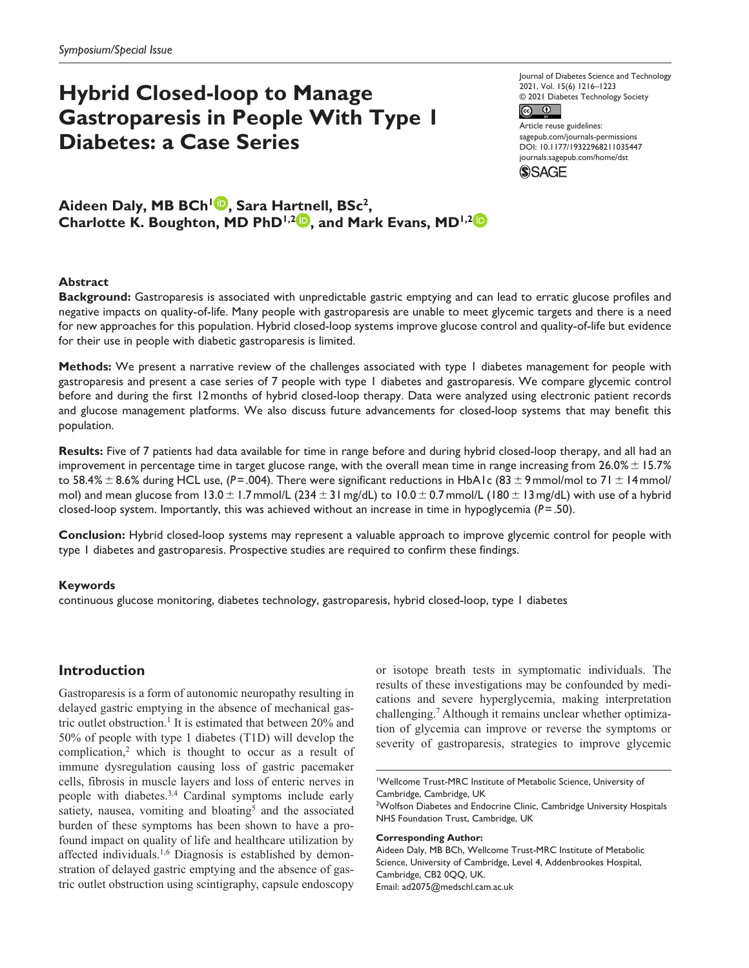# **Hybrid Closed-loop to Manage Gastroparesis in People With Type 1 Diabetes: a Case Series**

Journal of Diabetes Science and Technology 2021, Vol. 15(6) 1216–1223 © 2021 Diabetes Technology Society  $\odot$  $|$ (cc)

Article reuse guidelines: [sagepub.com/journals-permissions](https://us.sagepub.com/en-us/journals-permissions) DOI: 10.1177/19322968211035447 [journals.sagepub.com/home/dst](https://journals.sagepub.com/home/dst) **SSAGE** 

Aideen Daly, MB BCh<sup>1</sup><sup>(D</sup>, Sara Hartnell, BSc<sup>2</sup>, **Charlotte K. Boughton, MD PhD<sup>1,2</sup><sup>10</sup>, and Mark Evans, MD<sup>1,2</sup><sup>10</sup>** 

# **Abstract**

**Background:** Gastroparesis is associated with unpredictable gastric emptying and can lead to erratic glucose profiles and negative impacts on quality-of-life. Many people with gastroparesis are unable to meet glycemic targets and there is a need for new approaches for this population. Hybrid closed-loop systems improve glucose control and quality-of-life but evidence for their use in people with diabetic gastroparesis is limited.

**Methods:** We present a narrative review of the challenges associated with type 1 diabetes management for people with gastroparesis and present a case series of 7 people with type 1 diabetes and gastroparesis. We compare glycemic control before and during the first 12months of hybrid closed-loop therapy. Data were analyzed using electronic patient records and glucose management platforms. We also discuss future advancements for closed-loop systems that may benefit this population.

**Results:** Five of 7 patients had data available for time in range before and during hybrid closed-loop therapy, and all had an improvement in percentage time in target glucose range, with the overall mean time in range increasing from  $26.0\% \pm 15.7\%$ to 58.4% ±8.6% during HCL use, (*P*=.004). There were significant reductions in HbA1c (83 ± 9 mmol/mol to 71 ± 14 mmol/ mol) and mean glucose from  $13.0 \pm 1.7$ mmol/L ( $234 \pm 31$  mg/dL) to  $10.0 \pm 0.7$ mmol/L ( $180 \pm 13$  mg/dL) with use of a hybrid closed-loop system. Importantly, this was achieved without an increase in time in hypoglycemia (*P*=.50).

**Conclusion:** Hybrid closed-loop systems may represent a valuable approach to improve glycemic control for people with type 1 diabetes and gastroparesis. Prospective studies are required to confirm these findings.

### **Keywords**

continuous glucose monitoring, diabetes technology, gastroparesis, hybrid closed-loop, type 1 diabetes

# **Introduction**

Gastroparesis is a form of autonomic neuropathy resulting in delayed gastric emptying in the absence of mechanical gastric outlet obstruction.<sup>1</sup> It is estimated that between 20% and 50% of people with type 1 diabetes (T1D) will develop the complication,<sup>2</sup> which is thought to occur as a result of immune dysregulation causing loss of gastric pacemaker cells, fibrosis in muscle layers and loss of enteric nerves in people with diabetes.<sup>3,4</sup> Cardinal symptoms include early satiety, nausea, vomiting and bloating<sup>5</sup> and the associated burden of these symptoms has been shown to have a profound impact on quality of life and healthcare utilization by affected individuals.<sup>1,6</sup> Diagnosis is established by demonstration of delayed gastric emptying and the absence of gastric outlet obstruction using scintigraphy, capsule endoscopy

or isotope breath tests in symptomatic individuals. The results of these investigations may be confounded by medications and severe hyperglycemia, making interpretation challenging.7 Although it remains unclear whether optimization of glycemia can improve or reverse the symptoms or severity of gastroparesis, strategies to improve glycemic

#### **Corresponding Author:**

Aideen Daly, MB BCh, Wellcome Trust-MRC Institute of Metabolic Science, University of Cambridge, Level 4, Addenbrookes Hospital, Cambridge, CB2 0QQ, UK. Email: [ad2075@medschl.cam.ac.uk](mailto:ad2075@medschl.cam.ac.uk)

<sup>1</sup> Wellcome Trust-MRC Institute of Metabolic Science, University of Cambridge, Cambridge, UK

<sup>&</sup>lt;sup>2</sup>Wolfson Diabetes and Endocrine Clinic, Cambridge University Hospitals NHS Foundation Trust, Cambridge, UK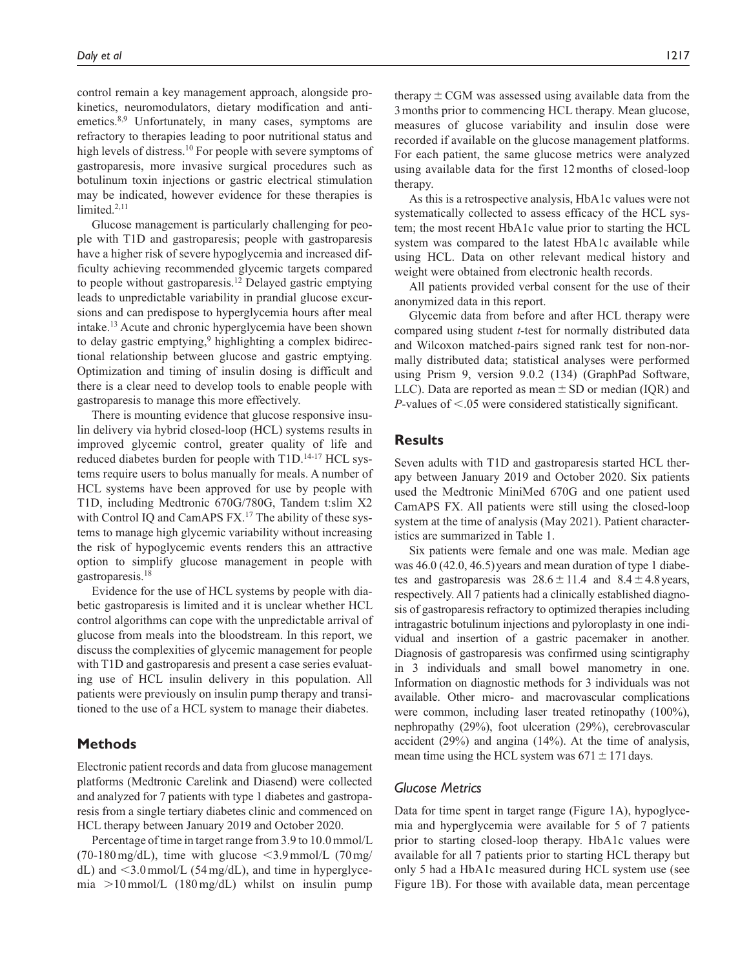control remain a key management approach, alongside prokinetics, neuromodulators, dietary modification and antiemetics.<sup>8,9</sup> Unfortunately, in many cases, symptoms are refractory to therapies leading to poor nutritional status and high levels of distress.<sup>10</sup> For people with severe symptoms of gastroparesis, more invasive surgical procedures such as botulinum toxin injections or gastric electrical stimulation may be indicated, however evidence for these therapies is limited.<sup>2,11</sup>

Glucose management is particularly challenging for people with T1D and gastroparesis; people with gastroparesis have a higher risk of severe hypoglycemia and increased difficulty achieving recommended glycemic targets compared to people without gastroparesis.12 Delayed gastric emptying leads to unpredictable variability in prandial glucose excursions and can predispose to hyperglycemia hours after meal intake.13 Acute and chronic hyperglycemia have been shown to delay gastric emptying,<sup>9</sup> highlighting a complex bidirectional relationship between glucose and gastric emptying. Optimization and timing of insulin dosing is difficult and there is a clear need to develop tools to enable people with gastroparesis to manage this more effectively.

There is mounting evidence that glucose responsive insulin delivery via hybrid closed-loop (HCL) systems results in improved glycemic control, greater quality of life and reduced diabetes burden for people with T1D.<sup>14-17</sup> HCL systems require users to bolus manually for meals. A number of HCL systems have been approved for use by people with T1D, including Medtronic 670G/780G, Tandem t:slim X2 with Control IQ and CamAPS FX.<sup>17</sup> The ability of these systems to manage high glycemic variability without increasing the risk of hypoglycemic events renders this an attractive option to simplify glucose management in people with gastroparesis.18

Evidence for the use of HCL systems by people with diabetic gastroparesis is limited and it is unclear whether HCL control algorithms can cope with the unpredictable arrival of glucose from meals into the bloodstream. In this report, we discuss the complexities of glycemic management for people with T1D and gastroparesis and present a case series evaluating use of HCL insulin delivery in this population. All patients were previously on insulin pump therapy and transitioned to the use of a HCL system to manage their diabetes.

# **Methods**

Electronic patient records and data from glucose management platforms (Medtronic Carelink and Diasend) were collected and analyzed for 7 patients with type 1 diabetes and gastroparesis from a single tertiary diabetes clinic and commenced on HCL therapy between January 2019 and October 2020.

Percentage of time in target range from 3.9 to 10.0mmol/L (70-180 mg/dL), time with glucose  $\leq$ 3.9 mmol/L (70 mg/ dL) and  $\leq$ 3.0 mmol/L (54 mg/dL), and time in hyperglycemia >10mmol/L (180mg/dL) whilst on insulin pump

therapy  $\pm$  CGM was assessed using available data from the 3months prior to commencing HCL therapy. Mean glucose, measures of glucose variability and insulin dose were recorded if available on the glucose management platforms. For each patient, the same glucose metrics were analyzed using available data for the first 12months of closed-loop therapy.

As this is a retrospective analysis, HbA1c values were not systematically collected to assess efficacy of the HCL system; the most recent HbA1c value prior to starting the HCL system was compared to the latest HbA1c available while using HCL. Data on other relevant medical history and weight were obtained from electronic health records.

All patients provided verbal consent for the use of their anonymized data in this report.

Glycemic data from before and after HCL therapy were compared using student *t*-test for normally distributed data and Wilcoxon matched-pairs signed rank test for non-normally distributed data; statistical analyses were performed using Prism 9, version 9.0.2 (134) (GraphPad Software, LLC). Data are reported as mean  $\pm$  SD or median (IQR) and *P*-values of <.05 were considered statistically significant.

## **Results**

Seven adults with T1D and gastroparesis started HCL therapy between January 2019 and October 2020. Six patients used the Medtronic MiniMed 670G and one patient used CamAPS FX. All patients were still using the closed-loop system at the time of analysis (May 2021). Patient characteristics are summarized in Table 1.

Six patients were female and one was male. Median age was 46.0 (42.0, 46.5) years and mean duration of type 1 diabetes and gastroparesis was  $28.6 \pm 11.4$  and  $8.4 \pm 4.8$  years, respectively. All 7 patients had a clinically established diagnosis of gastroparesis refractory to optimized therapies including intragastric botulinum injections and pyloroplasty in one individual and insertion of a gastric pacemaker in another. Diagnosis of gastroparesis was confirmed using scintigraphy in 3 individuals and small bowel manometry in one. Information on diagnostic methods for 3 individuals was not available. Other micro- and macrovascular complications were common, including laser treated retinopathy (100%), nephropathy (29%), foot ulceration (29%), cerebrovascular accident (29%) and angina (14%). At the time of analysis, mean time using the HCL system was  $671 \pm 171$  days.

## *Glucose Metrics*

Data for time spent in target range (Figure 1A), hypoglycemia and hyperglycemia were available for 5 of 7 patients prior to starting closed-loop therapy. HbA1c values were available for all 7 patients prior to starting HCL therapy but only 5 had a HbA1c measured during HCL system use (see Figure 1B). For those with available data, mean percentage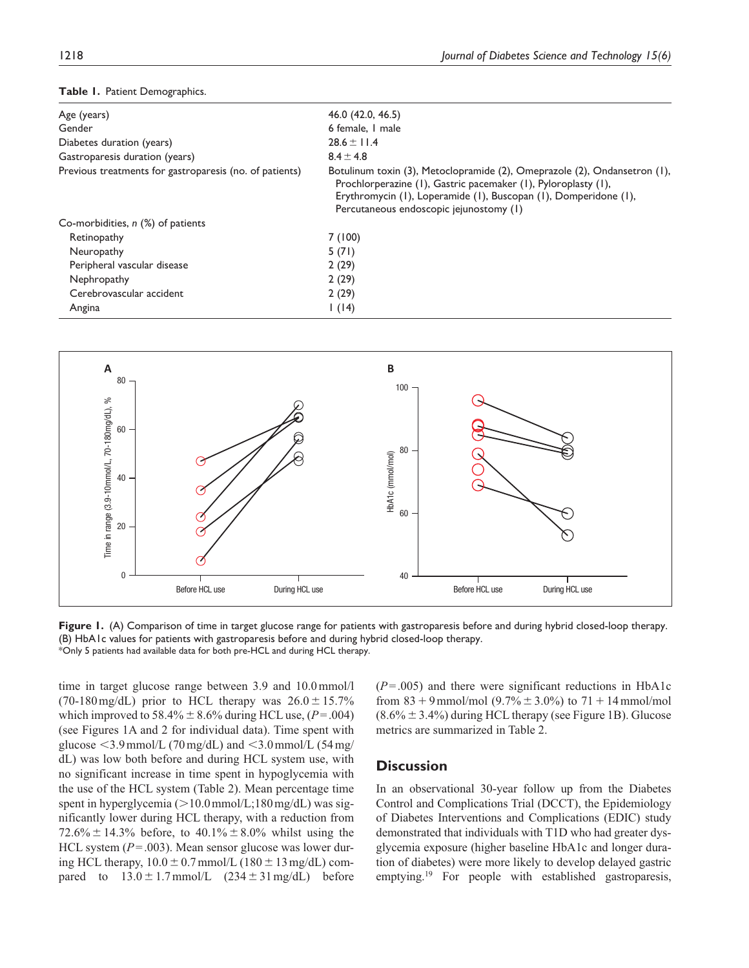| Age (years)                                             | 46.0 (42.0, 46.5)                                                                                                                                                                                                                                          |  |
|---------------------------------------------------------|------------------------------------------------------------------------------------------------------------------------------------------------------------------------------------------------------------------------------------------------------------|--|
| Gender                                                  | 6 female, I male                                                                                                                                                                                                                                           |  |
| Diabetes duration (years)                               | $28.6 \pm 11.4$                                                                                                                                                                                                                                            |  |
| Gastroparesis duration (years)                          | $8.4 \pm 4.8$                                                                                                                                                                                                                                              |  |
| Previous treatments for gastroparesis (no. of patients) | Botulinum toxin (3), Metoclopramide (2), Omeprazole (2), Ondansetron (1),<br>Prochlorperazine (1), Gastric pacemaker (1), Pyloroplasty (1),<br>Erythromycin (I), Loperamide (I), Buscopan (I), Domperidone (I),<br>Percutaneous endoscopic jejunostomy (1) |  |
| Co-morbidities, $n$ (%) of patients                     |                                                                                                                                                                                                                                                            |  |
| Retinopathy                                             | 7(100)                                                                                                                                                                                                                                                     |  |
| Neuropathy                                              | 5(71)                                                                                                                                                                                                                                                      |  |
| Peripheral vascular disease                             | 2(29)                                                                                                                                                                                                                                                      |  |
| Nephropathy                                             | 2(29)                                                                                                                                                                                                                                                      |  |
| Cerebrovascular accident                                | 2(29)                                                                                                                                                                                                                                                      |  |
| Angina                                                  | 1(14)                                                                                                                                                                                                                                                      |  |
|                                                         |                                                                                                                                                                                                                                                            |  |





**Figure 1.** (A) Comparison of time in target glucose range for patients with gastroparesis before and during hybrid closed-loop therapy. (B) HbA1c values for patients with gastroparesis before and during hybrid closed-loop therapy. \*Only 5 patients had available data for both pre-HCL and during HCL therapy.

time in target glucose range between 3.9 and 10.0mmol/l (70-180 mg/dL) prior to HCL therapy was  $26.0 \pm 15.7\%$ which improved to 58.4%  $\pm$  8.6% during HCL use, ( $P = .004$ ) (see Figures 1A and 2 for individual data). Time spent with glucose  $\leq$ 3.9 mmol/L (70 mg/dL) and  $\leq$ 3.0 mmol/L (54 mg/ dL) was low both before and during HCL system use, with no significant increase in time spent in hypoglycemia with the use of the HCL system (Table 2). Mean percentage time spent in hyperglycemia ( $>10.0$  mmol/L;180 mg/dL) was significantly lower during HCL therapy, with a reduction from 72.6%  $\pm$  14.3% before, to 40.1%  $\pm$  8.0% whilst using the HCL system ( $P = .003$ ). Mean sensor glucose was lower during HCL therapy,  $10.0 \pm 0.7$  mmol/L ( $180 \pm 13$  mg/dL) compared to  $13.0 \pm 1.7$  mmol/L  $(234 \pm 31$  mg/dL) before

(*P*=.005) and there were significant reductions in HbA1c from  $83 + 9$  mmol/mol  $(9.7\% \pm 3.0\%)$  to  $71 + 14$  mmol/mol  $(8.6\% \pm 3.4\%)$  during HCL therapy (see Figure 1B). Glucose metrics are summarized in Table 2.

# **Discussion**

In an observational 30-year follow up from the Diabetes Control and Complications Trial (DCCT), the Epidemiology of Diabetes Interventions and Complications (EDIC) study demonstrated that individuals with T1D who had greater dysglycemia exposure (higher baseline HbA1c and longer duration of diabetes) were more likely to develop delayed gastric emptying.<sup>19</sup> For people with established gastroparesis,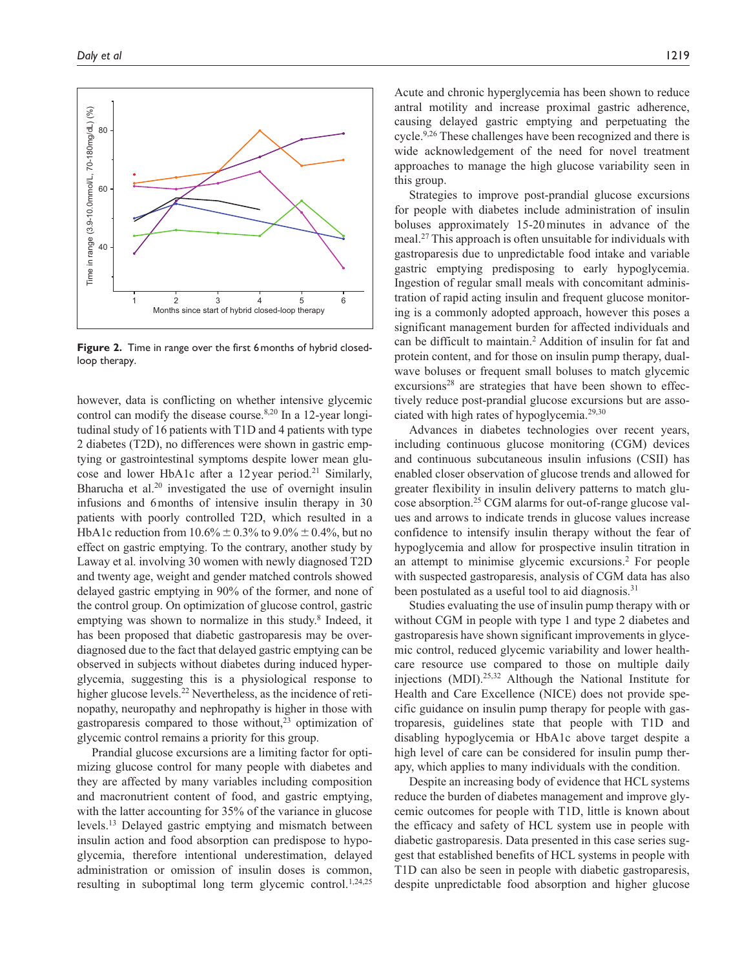

**Figure 2.** Time in range over the first 6months of hybrid closedloop therapy.

however, data is conflicting on whether intensive glycemic control can modify the disease course.<sup>8,20</sup> In a 12-year longitudinal study of 16 patients with T1D and 4 patients with type 2 diabetes (T2D), no differences were shown in gastric emptying or gastrointestinal symptoms despite lower mean glucose and lower HbA1c after a 12year period.<sup>21</sup> Similarly, Bharucha et al.<sup>20</sup> investigated the use of overnight insulin infusions and 6months of intensive insulin therapy in 30 patients with poorly controlled T2D, which resulted in a HbA1c reduction from  $10.6\% \pm 0.3\%$  to  $9.0\% \pm 0.4\%$ , but no effect on gastric emptying. To the contrary, another study by Laway et al. involving 30 women with newly diagnosed T2D and twenty age, weight and gender matched controls showed delayed gastric emptying in 90% of the former, and none of the control group. On optimization of glucose control, gastric emptying was shown to normalize in this study.<sup>8</sup> Indeed, it has been proposed that diabetic gastroparesis may be overdiagnosed due to the fact that delayed gastric emptying can be observed in subjects without diabetes during induced hyperglycemia, suggesting this is a physiological response to higher glucose levels.<sup>22</sup> Nevertheless, as the incidence of retinopathy, neuropathy and nephropathy is higher in those with gastroparesis compared to those without, $2<sup>3</sup>$  optimization of glycemic control remains a priority for this group.

Prandial glucose excursions are a limiting factor for optimizing glucose control for many people with diabetes and they are affected by many variables including composition and macronutrient content of food, and gastric emptying, with the latter accounting for 35% of the variance in glucose levels.13 Delayed gastric emptying and mismatch between insulin action and food absorption can predispose to hypoglycemia, therefore intentional underestimation, delayed administration or omission of insulin doses is common, resulting in suboptimal long term glycemic control.<sup>1,24,25</sup> Acute and chronic hyperglycemia has been shown to reduce antral motility and increase proximal gastric adherence, causing delayed gastric emptying and perpetuating the cycle.<sup>9,26</sup> These challenges have been recognized and there is wide acknowledgement of the need for novel treatment approaches to manage the high glucose variability seen in this group.

Strategies to improve post-prandial glucose excursions for people with diabetes include administration of insulin boluses approximately 15-20minutes in advance of the meal.27 This approach is often unsuitable for individuals with gastroparesis due to unpredictable food intake and variable gastric emptying predisposing to early hypoglycemia. Ingestion of regular small meals with concomitant administration of rapid acting insulin and frequent glucose monitoring is a commonly adopted approach, however this poses a significant management burden for affected individuals and can be difficult to maintain.2 Addition of insulin for fat and protein content, and for those on insulin pump therapy, dualwave boluses or frequent small boluses to match glycemic  $exclusions<sup>28</sup>$  are strategies that have been shown to effectively reduce post-prandial glucose excursions but are associated with high rates of hypoglycemia.<sup>29,30</sup>

Advances in diabetes technologies over recent years, including continuous glucose monitoring (CGM) devices and continuous subcutaneous insulin infusions (CSII) has enabled closer observation of glucose trends and allowed for greater flexibility in insulin delivery patterns to match glucose absorption.25 CGM alarms for out-of-range glucose values and arrows to indicate trends in glucose values increase confidence to intensify insulin therapy without the fear of hypoglycemia and allow for prospective insulin titration in an attempt to minimise glycemic excursions.2 For people with suspected gastroparesis, analysis of CGM data has also been postulated as a useful tool to aid diagnosis.<sup>31</sup>

Studies evaluating the use of insulin pump therapy with or without CGM in people with type 1 and type 2 diabetes and gastroparesis have shown significant improvements in glycemic control, reduced glycemic variability and lower healthcare resource use compared to those on multiple daily injections (MDI).25,32 Although the National Institute for Health and Care Excellence (NICE) does not provide specific guidance on insulin pump therapy for people with gastroparesis, guidelines state that people with T1D and disabling hypoglycemia or HbA1c above target despite a high level of care can be considered for insulin pump therapy, which applies to many individuals with the condition.

Despite an increasing body of evidence that HCL systems reduce the burden of diabetes management and improve glycemic outcomes for people with T1D, little is known about the efficacy and safety of HCL system use in people with diabetic gastroparesis. Data presented in this case series suggest that established benefits of HCL systems in people with T1D can also be seen in people with diabetic gastroparesis, despite unpredictable food absorption and higher glucose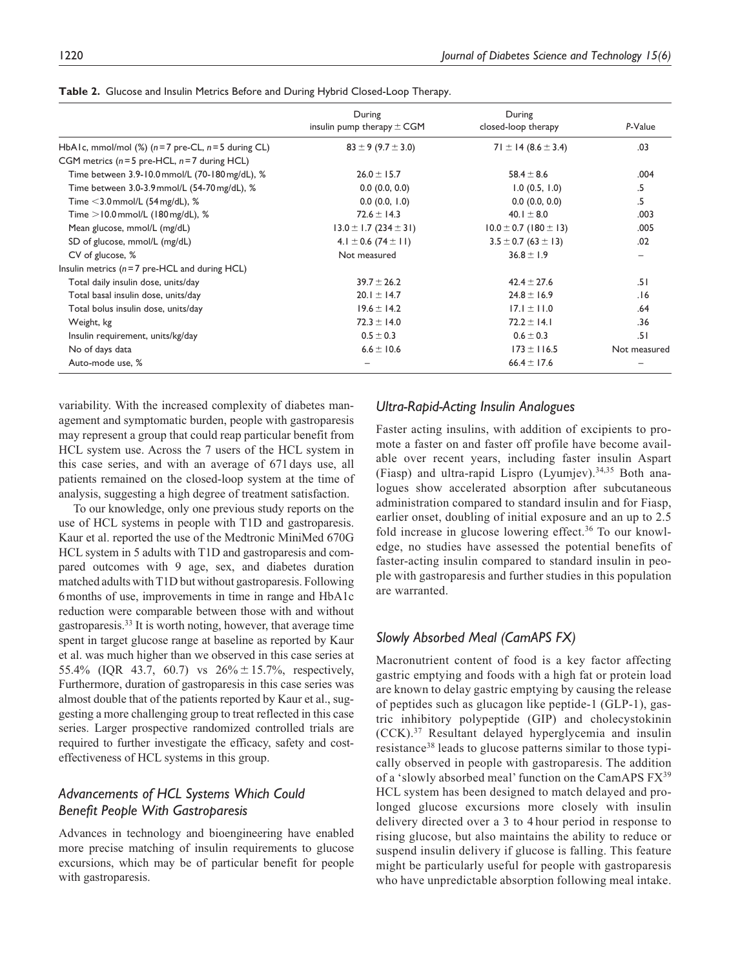|                                                        | During<br>insulin pump therapy $\pm$ CGM | During<br>closed-loop therapy | P-Value      |
|--------------------------------------------------------|------------------------------------------|-------------------------------|--------------|
| HbA1c, mmol/mol $(\%)$ (n = 7 pre-CL, n = 5 during CL) | $83 \pm 9 (9.7 \pm 3.0)$                 | $71 \pm 14 (8.6 \pm 3.4)$     | .03          |
| CGM metrics ( $n = 5$ pre-HCL, $n = 7$ during HCL)     |                                          |                               |              |
| Time between 3.9-10.0 mmol/L (70-180 mg/dL), %         | $26.0 \pm 15.7$                          | $58.4 \pm 8.6$                | .004         |
| Time between 3.0-3.9 mmol/L (54-70 mg/dL), %           | 0.0(0.0, 0.0)                            | 1.0(0.5, 1.0)                 | .5           |
| Time $<$ 3.0 mmol/L (54 mg/dL), %                      | 0.0(0.0, 1.0)                            | 0.0(0.0, 0.0)                 | .5           |
| Time $>$ 10.0 mmol/L (180 mg/dL), %                    | $72.6 \pm 14.3$                          | 40.1 $\pm$ 8.0                | .003         |
| Mean glucose, mmol/L (mg/dL)                           | $13.0 \pm 1.7 (234 \pm 31)$              | $10.0 \pm 0.7$ (180 $\pm$ 13) | .005         |
| SD of glucose, mmol/L (mg/dL)                          | $4.1 \pm 0.6$ (74 $\pm$ 11)              | $3.5 \pm 0.7$ (63 $\pm$ 13)   | .02          |
| CV of glucose, %                                       | Not measured                             | $36.8 \pm 1.9$                |              |
| Insulin metrics ( $n = 7$ pre-HCL and during HCL)      |                                          |                               |              |
| Total daily insulin dose, units/day                    | $39.7 \pm 26.2$                          | $42.4 \pm 27.6$               | .51          |
| Total basal insulin dose, units/day                    | $20.1 \pm 14.7$                          | $24.8 \pm 16.9$               | .16          |
| Total bolus insulin dose, units/day                    | $19.6 \pm 14.2$                          | $17.1 \pm 11.0$               | .64          |
| Weight, kg                                             | $72.3 \pm 14.0$                          | $72.2 \pm 14.1$               | .36          |
| Insulin requirement, units/kg/day                      | $0.5 \pm 0.3$                            | $0.6 \pm 0.3$                 | .51          |
| No of days data                                        | $6.6 \pm 10.6$                           | $173 \pm 116.5$               | Not measured |
| Auto-mode use, %                                       |                                          | $66.4 \pm 17.6$               |              |

**Table 2.** Glucose and Insulin Metrics Before and During Hybrid Closed-Loop Therapy.

variability. With the increased complexity of diabetes management and symptomatic burden, people with gastroparesis may represent a group that could reap particular benefit from HCL system use. Across the 7 users of the HCL system in this case series, and with an average of 671days use, all patients remained on the closed-loop system at the time of analysis, suggesting a high degree of treatment satisfaction.

To our knowledge, only one previous study reports on the use of HCL systems in people with T1D and gastroparesis. Kaur et al. reported the use of the Medtronic MiniMed 670G HCL system in 5 adults with T1D and gastroparesis and compared outcomes with 9 age, sex, and diabetes duration matched adults with T1D but without gastroparesis. Following 6months of use, improvements in time in range and HbA1c reduction were comparable between those with and without gastroparesis.33 It is worth noting, however, that average time spent in target glucose range at baseline as reported by Kaur et al. was much higher than we observed in this case series at 55.4% (IQR 43.7, 60.7) vs  $26\% \pm 15.7\%$ , respectively, Furthermore, duration of gastroparesis in this case series was almost double that of the patients reported by Kaur et al., suggesting a more challenging group to treat reflected in this case series. Larger prospective randomized controlled trials are required to further investigate the efficacy, safety and costeffectiveness of HCL systems in this group.

# *Advancements of HCL Systems Which Could Benefit People With Gastroparesis*

Advances in technology and bioengineering have enabled more precise matching of insulin requirements to glucose excursions, which may be of particular benefit for people with gastroparesis.

## *Ultra-Rapid-Acting Insulin Analogues*

Faster acting insulins, with addition of excipients to promote a faster on and faster off profile have become available over recent years, including faster insulin Aspart (Fiasp) and ultra-rapid Lispro (Lyumjev).<sup>34,35</sup> Both analogues show accelerated absorption after subcutaneous administration compared to standard insulin and for Fiasp, earlier onset, doubling of initial exposure and an up to 2.5 fold increase in glucose lowering effect.<sup>36</sup> To our knowledge, no studies have assessed the potential benefits of faster-acting insulin compared to standard insulin in people with gastroparesis and further studies in this population are warranted.

# *Slowly Absorbed Meal (CamAPS FX)*

Macronutrient content of food is a key factor affecting gastric emptying and foods with a high fat or protein load are known to delay gastric emptying by causing the release of peptides such as glucagon like peptide-1 (GLP-1), gastric inhibitory polypeptide (GIP) and cholecystokinin (CCK).37 Resultant delayed hyperglycemia and insulin resistance<sup>38</sup> leads to glucose patterns similar to those typically observed in people with gastroparesis. The addition of a 'slowly absorbed meal' function on the CamAPS  $FX^{39}$ HCL system has been designed to match delayed and prolonged glucose excursions more closely with insulin delivery directed over a 3 to 4 hour period in response to rising glucose, but also maintains the ability to reduce or suspend insulin delivery if glucose is falling. This feature might be particularly useful for people with gastroparesis who have unpredictable absorption following meal intake.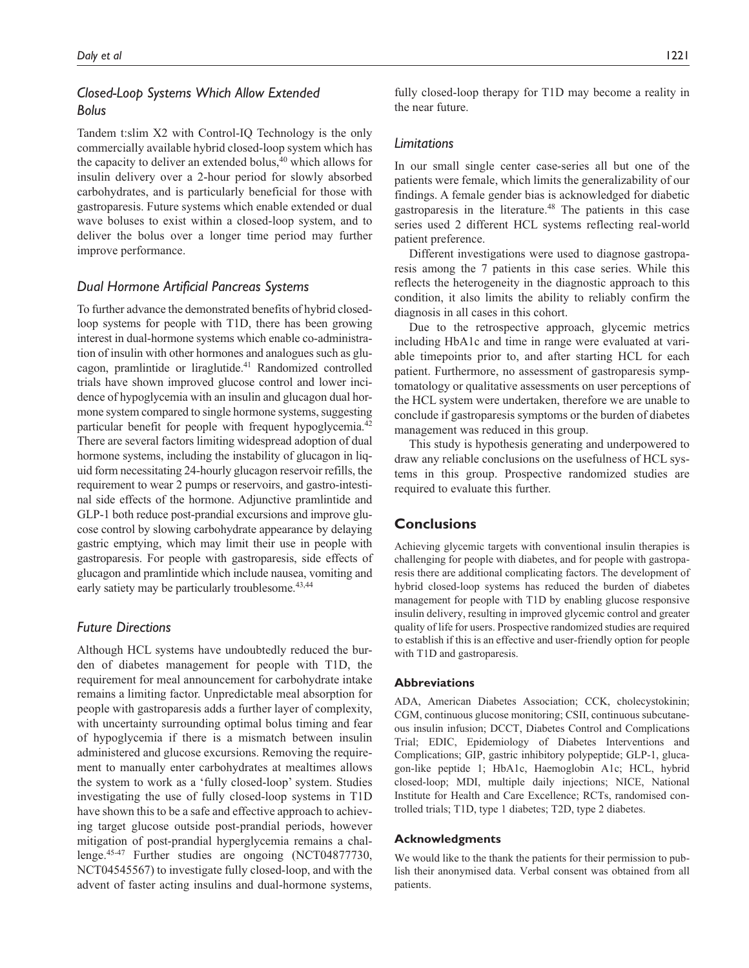# *Closed-Loop Systems Which Allow Extended Bolus*

Tandem t:slim X2 with Control-IQ Technology is the only commercially available hybrid closed-loop system which has the capacity to deliver an extended bolus, $40$  which allows for insulin delivery over a 2-hour period for slowly absorbed carbohydrates, and is particularly beneficial for those with gastroparesis. Future systems which enable extended or dual wave boluses to exist within a closed-loop system, and to deliver the bolus over a longer time period may further improve performance.

### *Dual Hormone Artificial Pancreas Systems*

To further advance the demonstrated benefits of hybrid closedloop systems for people with T1D, there has been growing interest in dual-hormone systems which enable co-administration of insulin with other hormones and analogues such as glucagon, pramlintide or liraglutide.<sup>41</sup> Randomized controlled trials have shown improved glucose control and lower incidence of hypoglycemia with an insulin and glucagon dual hormone system compared to single hormone systems, suggesting particular benefit for people with frequent hypoglycemia.<sup>42</sup> There are several factors limiting widespread adoption of dual hormone systems, including the instability of glucagon in liquid form necessitating 24-hourly glucagon reservoir refills, the requirement to wear 2 pumps or reservoirs, and gastro-intestinal side effects of the hormone. Adjunctive pramlintide and GLP-1 both reduce post-prandial excursions and improve glucose control by slowing carbohydrate appearance by delaying gastric emptying, which may limit their use in people with gastroparesis. For people with gastroparesis, side effects of glucagon and pramlintide which include nausea, vomiting and early satiety may be particularly troublesome.<sup>43,44</sup>

## *Future Directions*

Although HCL systems have undoubtedly reduced the burden of diabetes management for people with T1D, the requirement for meal announcement for carbohydrate intake remains a limiting factor. Unpredictable meal absorption for people with gastroparesis adds a further layer of complexity, with uncertainty surrounding optimal bolus timing and fear of hypoglycemia if there is a mismatch between insulin administered and glucose excursions. Removing the requirement to manually enter carbohydrates at mealtimes allows the system to work as a 'fully closed-loop' system. Studies investigating the use of fully closed-loop systems in T1D have shown this to be a safe and effective approach to achieving target glucose outside post-prandial periods, however mitigation of post-prandial hyperglycemia remains a challenge.45-47 Further studies are ongoing (NCT04877730, NCT04545567) to investigate fully closed-loop, and with the advent of faster acting insulins and dual-hormone systems,

fully closed-loop therapy for T1D may become a reality in the near future.

#### *Limitations*

In our small single center case-series all but one of the patients were female, which limits the generalizability of our findings. A female gender bias is acknowledged for diabetic gastroparesis in the literature.48 The patients in this case series used 2 different HCL systems reflecting real-world patient preference.

Different investigations were used to diagnose gastroparesis among the 7 patients in this case series. While this reflects the heterogeneity in the diagnostic approach to this condition, it also limits the ability to reliably confirm the diagnosis in all cases in this cohort.

Due to the retrospective approach, glycemic metrics including HbA1c and time in range were evaluated at variable timepoints prior to, and after starting HCL for each patient. Furthermore, no assessment of gastroparesis symptomatology or qualitative assessments on user perceptions of the HCL system were undertaken, therefore we are unable to conclude if gastroparesis symptoms or the burden of diabetes management was reduced in this group.

This study is hypothesis generating and underpowered to draw any reliable conclusions on the usefulness of HCL systems in this group. Prospective randomized studies are required to evaluate this further.

# **Conclusions**

Achieving glycemic targets with conventional insulin therapies is challenging for people with diabetes, and for people with gastroparesis there are additional complicating factors. The development of hybrid closed-loop systems has reduced the burden of diabetes management for people with T1D by enabling glucose responsive insulin delivery, resulting in improved glycemic control and greater quality of life for users. Prospective randomized studies are required to establish if this is an effective and user-friendly option for people with T1D and gastroparesis.

#### **Abbreviations**

ADA, American Diabetes Association; CCK, cholecystokinin; CGM, continuous glucose monitoring; CSII, continuous subcutaneous insulin infusion; DCCT, Diabetes Control and Complications Trial; EDIC, Epidemiology of Diabetes Interventions and Complications; GIP, gastric inhibitory polypeptide; GLP-1, glucagon-like peptide 1; HbA1c, Haemoglobin A1c; HCL, hybrid closed-loop; MDI, multiple daily injections; NICE, National Institute for Health and Care Excellence; RCTs, randomised controlled trials; T1D, type 1 diabetes; T2D, type 2 diabetes.

#### **Acknowledgments**

We would like to the thank the patients for their permission to publish their anonymised data. Verbal consent was obtained from all patients.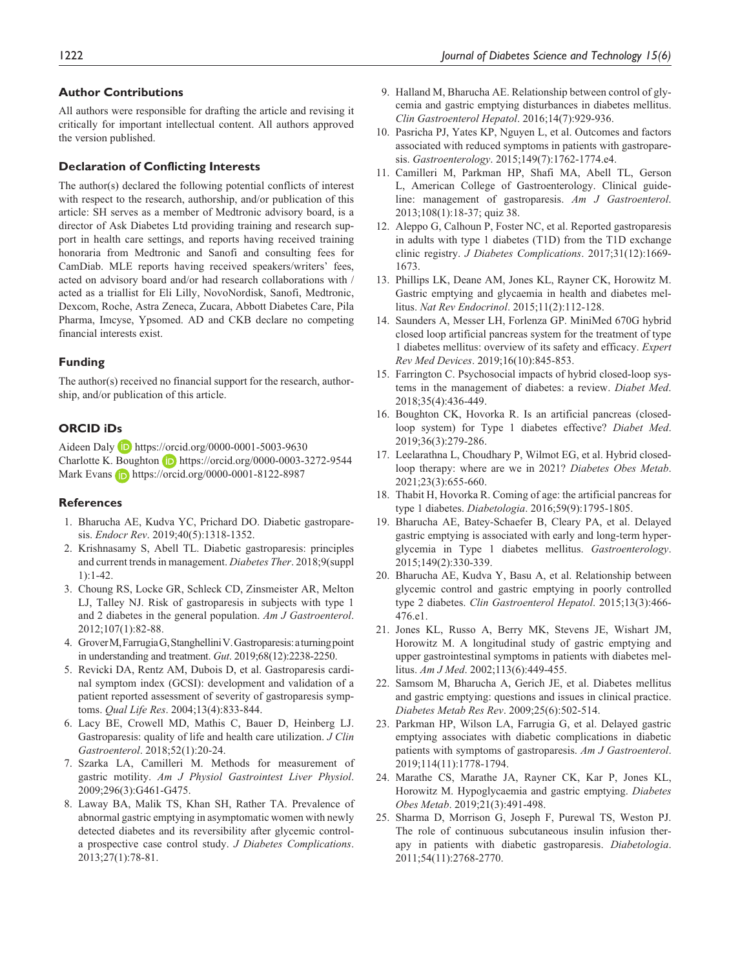#### **Author Contributions**

All authors were responsible for drafting the article and revising it critically for important intellectual content. All authors approved the version published.

#### **Declaration of Conflicting Interests**

The author(s) declared the following potential conflicts of interest with respect to the research, authorship, and/or publication of this article: SH serves as a member of Medtronic advisory board, is a director of Ask Diabetes Ltd providing training and research support in health care settings, and reports having received training honoraria from Medtronic and Sanofi and consulting fees for CamDiab. MLE reports having received speakers/writers' fees, acted on advisory board and/or had research collaborations with / acted as a triallist for Eli Lilly, NovoNordisk, Sanofi, Medtronic, Dexcom, Roche, Astra Zeneca, Zucara, Abbott Diabetes Care, Pila Pharma, Imcyse, Ypsomed. AD and CKB declare no competing financial interests exist.

#### **Funding**

The author(s) received no financial support for the research, authorship, and/or publication of this article.

#### **ORCID iDs**

Aideen Daly <https://orcid.org/0000-0001-5003-9630> Charlotte K. Boughton D <https://orcid.org/0000-0003-3272-9544> Mark Evans **b** <https://orcid.org/0000-0001-8122-8987>

#### **References**

- 1. Bharucha AE, Kudva YC, Prichard DO. Diabetic gastroparesis. *Endocr Rev*. 2019;40(5):1318-1352.
- 2. Krishnasamy S, Abell TL. Diabetic gastroparesis: principles and current trends in management. *Diabetes Ther*. 2018;9(suppl 1):1-42.
- 3. Choung RS, Locke GR, Schleck CD, Zinsmeister AR, Melton LJ, Talley NJ. Risk of gastroparesis in subjects with type 1 and 2 diabetes in the general population. *Am J Gastroenterol*. 2012;107(1):82-88.
- 4. Grover M, Farrugia G, Stanghellini V. Gastroparesis: a turning point in understanding and treatment. *Gut*. 2019;68(12):2238-2250.
- 5. Revicki DA, Rentz AM, Dubois D, et al. Gastroparesis cardinal symptom index (GCSI): development and validation of a patient reported assessment of severity of gastroparesis symptoms. *Qual Life Res*. 2004;13(4):833-844.
- 6. Lacy BE, Crowell MD, Mathis C, Bauer D, Heinberg LJ. Gastroparesis: quality of life and health care utilization. *J Clin Gastroenterol*. 2018;52(1):20-24.
- 7. Szarka LA, Camilleri M. Methods for measurement of gastric motility. *Am J Physiol Gastrointest Liver Physiol*. 2009;296(3):G461-G475.
- 8. Laway BA, Malik TS, Khan SH, Rather TA. Prevalence of abnormal gastric emptying in asymptomatic women with newly detected diabetes and its reversibility after glycemic controla prospective case control study. *J Diabetes Complications*. 2013;27(1):78-81.
- 9. Halland M, Bharucha AE. Relationship between control of glycemia and gastric emptying disturbances in diabetes mellitus. *Clin Gastroenterol Hepatol*. 2016;14(7):929-936.
- 10. Pasricha PJ, Yates KP, Nguyen L, et al. Outcomes and factors associated with reduced symptoms in patients with gastroparesis. *Gastroenterology*. 2015;149(7):1762-1774.e4.
- 11. Camilleri M, Parkman HP, Shafi MA, Abell TL, Gerson L, American College of Gastroenterology. Clinical guideline: management of gastroparesis. *Am J Gastroenterol*. 2013;108(1):18-37; quiz 38.
- 12. Aleppo G, Calhoun P, Foster NC, et al. Reported gastroparesis in adults with type 1 diabetes (T1D) from the T1D exchange clinic registry. *J Diabetes Complications*. 2017;31(12):1669- 1673.
- 13. Phillips LK, Deane AM, Jones KL, Rayner CK, Horowitz M. Gastric emptying and glycaemia in health and diabetes mellitus. *Nat Rev Endocrinol*. 2015;11(2):112-128.
- 14. Saunders A, Messer LH, Forlenza GP. MiniMed 670G hybrid closed loop artificial pancreas system for the treatment of type 1 diabetes mellitus: overview of its safety and efficacy. *Expert Rev Med Devices*. 2019;16(10):845-853.
- 15. Farrington C. Psychosocial impacts of hybrid closed-loop systems in the management of diabetes: a review. *Diabet Med*. 2018;35(4):436-449.
- 16. Boughton CK, Hovorka R. Is an artificial pancreas (closedloop system) for Type 1 diabetes effective? *Diabet Med*. 2019;36(3):279-286.
- 17. Leelarathna L, Choudhary P, Wilmot EG, et al. Hybrid closedloop therapy: where are we in 2021? *Diabetes Obes Metab*. 2021;23(3):655-660.
- 18. Thabit H, Hovorka R. Coming of age: the artificial pancreas for type 1 diabetes. *Diabetologia*. 2016;59(9):1795-1805.
- 19. Bharucha AE, Batey-Schaefer B, Cleary PA, et al. Delayed gastric emptying is associated with early and long-term hyperglycemia in Type 1 diabetes mellitus. *Gastroenterology*. 2015;149(2):330-339.
- 20. Bharucha AE, Kudva Y, Basu A, et al. Relationship between glycemic control and gastric emptying in poorly controlled type 2 diabetes. *Clin Gastroenterol Hepatol*. 2015;13(3):466- 476.e1.
- 21. Jones KL, Russo A, Berry MK, Stevens JE, Wishart JM, Horowitz M. A longitudinal study of gastric emptying and upper gastrointestinal symptoms in patients with diabetes mellitus. *Am J Med*. 2002;113(6):449-455.
- 22. Samsom M, Bharucha A, Gerich JE, et al. Diabetes mellitus and gastric emptying: questions and issues in clinical practice. *Diabetes Metab Res Rev*. 2009;25(6):502-514.
- 23. Parkman HP, Wilson LA, Farrugia G, et al. Delayed gastric emptying associates with diabetic complications in diabetic patients with symptoms of gastroparesis. *Am J Gastroenterol*. 2019;114(11):1778-1794.
- 24. Marathe CS, Marathe JA, Rayner CK, Kar P, Jones KL, Horowitz M. Hypoglycaemia and gastric emptying. *Diabetes Obes Metab*. 2019;21(3):491-498.
- 25. Sharma D, Morrison G, Joseph F, Purewal TS, Weston PJ. The role of continuous subcutaneous insulin infusion therapy in patients with diabetic gastroparesis. *Diabetologia*. 2011;54(11):2768-2770.